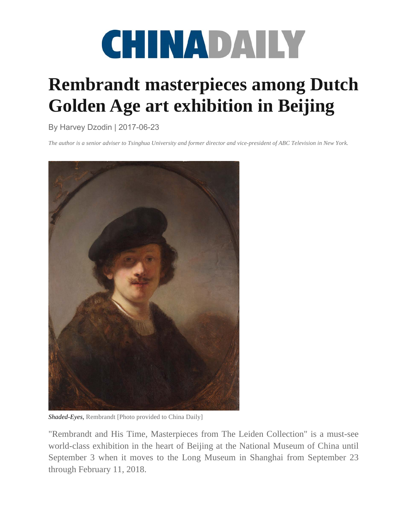

## **Rembrandt masterpieces among Dutch Golden Age art exhibition in Beijing**

## By Harvey Dzodin | 2017-06-23

*The author is a senior adviser to Tsinghua University and former director and vice-president of ABC Television in New York.*



*Shaded-Eyes,* Rembrandt [Photo provided to China Daily]

"Rembrandt and His Time, Masterpieces from The Leiden Collection" is a must-see world-class exhibition in the heart of Beijing at the National Museum of China until September 3 when it moves to the Long Museum in Shanghai from September 23 through February 11, 2018.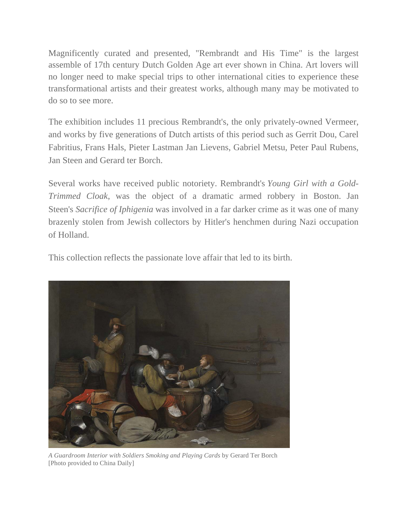Magnificently curated and presented, "Rembrandt and His Time" is the largest assemble of 17th century Dutch Golden Age art ever shown in China. Art lovers will no longer need to make special trips to other international cities to experience these transformational artists and their greatest works, although many may be motivated to do so to see more.

The exhibition includes 11 precious Rembrandt's, the only privately-owned Vermeer, and works by five generations of Dutch artists of this period such as Gerrit Dou, Carel Fabritius, Frans Hals, Pieter Lastman Jan Lievens, Gabriel Metsu, Peter Paul Rubens, Jan Steen and Gerard ter Borch.

Several works have received public notoriety. Rembrandt's *Young Girl with a Gold-Trimmed Cloak*, was the object of a dramatic armed robbery in Boston. Jan Steen's *Sacrifice of Iphigenia* was involved in a far darker crime as it was one of many brazenly stolen from Jewish collectors by Hitler's henchmen during Nazi occupation of Holland.

This collection reflects the passionate love affair that led to its birth.



*A Guardroom Interior with Soldiers Smoking and Playing Cards* by Gerard Ter Borch [Photo provided to China Daily]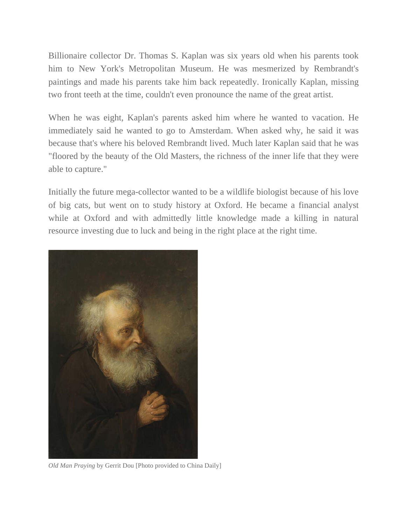Billionaire collector Dr. Thomas S. Kaplan was six years old when his parents took him to New York's Metropolitan Museum. He was mesmerized by Rembrandt's paintings and made his parents take him back repeatedly. Ironically Kaplan, missing two front teeth at the time, couldn't even pronounce the name of the great artist.

When he was eight, Kaplan's parents asked him where he wanted to vacation. He immediately said he wanted to go to Amsterdam. When asked why, he said it was because that's where his beloved Rembrandt lived. Much later Kaplan said that he was "floored by the beauty of the Old Masters, the richness of the inner life that they were able to capture."

Initially the future mega-collector wanted to be a wildlife biologist because of his love of big cats, but went on to study history at Oxford. He became a financial analyst while at Oxford and with admittedly little knowledge made a killing in natural resource investing due to luck and being in the right place at the right time.



*Old Man Praying* by Gerrit Dou [Photo provided to China Daily]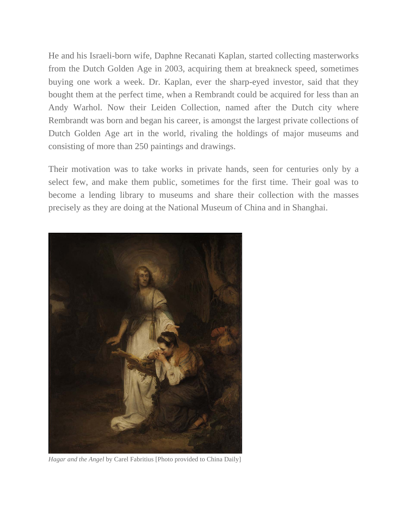He and his Israeli-born wife, Daphne Recanati Kaplan, started collecting masterworks from the Dutch Golden Age in 2003, acquiring them at breakneck speed, sometimes buying one work a week. Dr. Kaplan, ever the sharp-eyed investor, said that they bought them at the perfect time, when a Rembrandt could be acquired for less than an Andy Warhol. Now their Leiden Collection, named after the Dutch city where Rembrandt was born and began his career, is amongst the largest private collections of Dutch Golden Age art in the world, rivaling the holdings of major museums and consisting of more than 250 paintings and drawings.

Their motivation was to take works in private hands, seen for centuries only by a select few, and make them public, sometimes for the first time. Their goal was to become a lending library to museums and share their collection with the masses precisely as they are doing at the National Museum of China and in Shanghai.



*Hagar and the Angel* by Carel Fabritius [Photo provided to China Daily]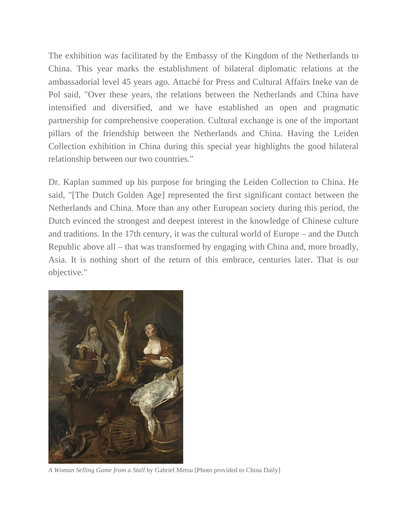The exhibition was facilitated by the Embassy of the Kingdom of the Netherlands to China. This year marks the establishment of bilateral diplomatic relations at the ambassadorial level 45 years ago. Attaché for Press and Cultural Affairs Ineke van de Pol said, "Over these years, the relations between the Netherlands and China have intensified and diversified, and we have established an open and pragmatic partnership for comprehensive cooperation. Cultural exchange is one of the important pillars of the friendship between the Netherlands and China. Having the Leiden Collection exhibition in China during this special year highlights the good bilateral relationship between our two countries."

Dr. Kaplan summed up his purpose for bringing the Leiden Collection to China. He said, "[The Dutch Golden Age] represented the first significant contact between the Netherlands and China. More than any other European society during this period, the Dutch evinced the strongest and deepest interest in the knowledge of Chinese culture and traditions. In the 17th century, it was the cultural world of Europe – and the Dutch Republic above all – that was transformed by engaging with China and, more broadly, Asia. It is nothing short of the return of this embrace, centuries later. That is our objective."



*A Woman Selling Game from a Stall* by Gabriel Metsu [Photo provided to China Daily]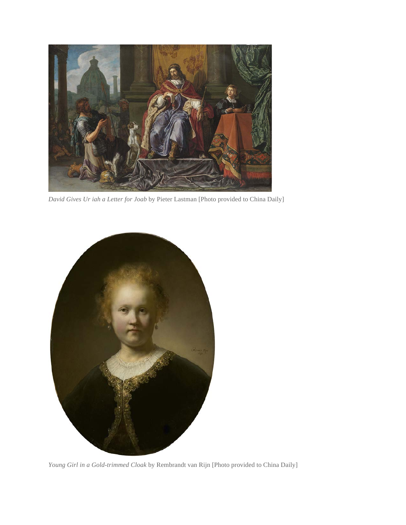

*David Gives Ur iah a Letter for Joab* by Pieter Lastman [Photo provided to China Daily]



*Young Girl in a Gold-trimmed Cloak* by Rembrandt van Rijn [Photo provided to China Daily]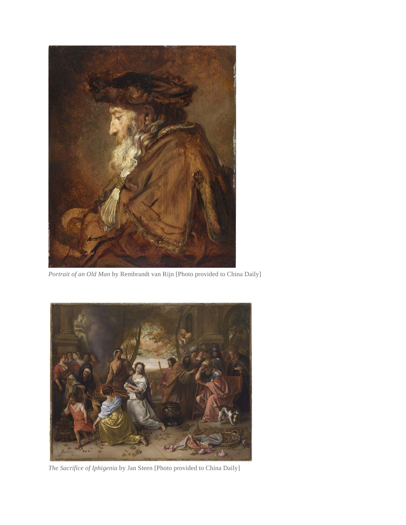

*Portrait of an Old Man* by Rembrandt van Rijn [Photo provided to China Daily]



*The Sacrifice of Iphigenia* by Jan Steen [Photo provided to China Daily]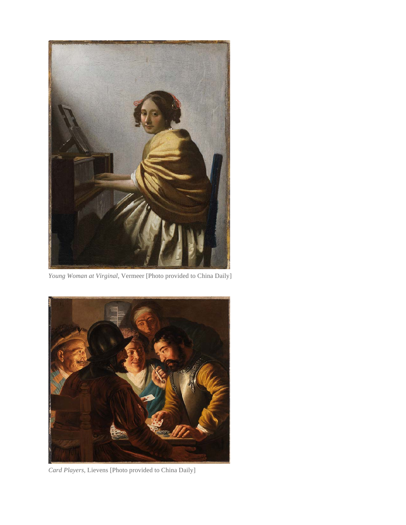

*Young Woman at Virginal*, Vermeer [Photo provided to China Daily]



*Card Players,* Lievens [Photo provided to China Daily]